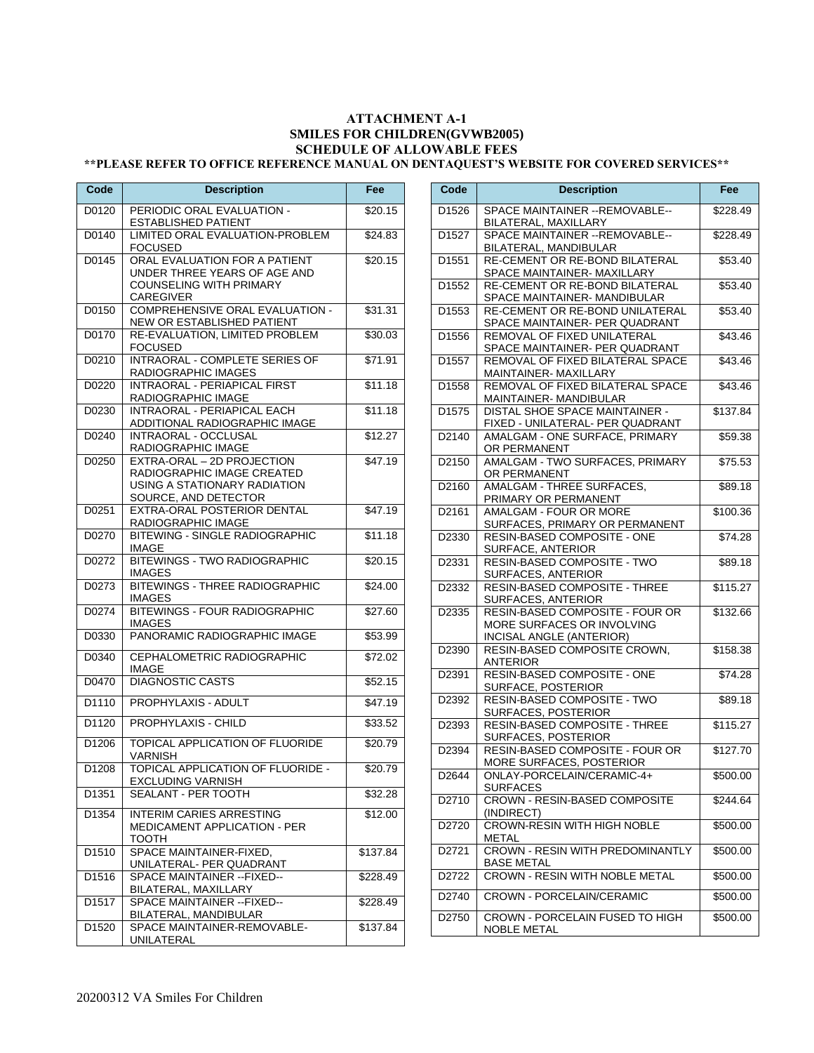## **ATTACHMENT A-1 SMILES FOR CHILDREN(GVWB2005) SCHEDULE OF ALLOWABLE FEES**

## **\*\*PLEASE REFER TO OFFICE REFERENCE MANUAL ON DENTAQUEST'S WEBSITE FOR COVERED SERVICES\*\***

| Code              | <b>Description</b>                                                                                                  | Fee                 |
|-------------------|---------------------------------------------------------------------------------------------------------------------|---------------------|
| D0120             | PERIODIC ORAL EVALUATION -<br>ESTABLISHED PATIENT                                                                   | \$20.15             |
| D0140             | LIMITED ORAL EVALUATION-PROBLEM<br><b>FOCUSED</b>                                                                   | \$24.83             |
| D0145             | ORAL EVALUATION FOR A PATIENT<br>UNDER THREE YEARS OF AGE AND<br><b>COUNSELING WITH PRIMARY</b><br><b>CAREGIVER</b> | \$20.15             |
| D0150             | COMPREHENSIVE ORAL EVALUATION -<br>NEW OR ESTABLISHED PATIENT                                                       | \$31.31             |
| D0170             | RE-EVALUATION. LIMITED PROBLEM<br><b>FOCUSED</b>                                                                    | \$30.03             |
| D0210             | <b>INTRAORAL - COMPLETE SERIES OF</b><br>RADIOGRAPHIC IMAGES                                                        | \$71.91             |
| D0220             | <b>INTRAORAL - PERIAPICAL FIRST</b><br>RADIOGRAPHIC IMAGE                                                           | \$11.18             |
| D0230             | INTRAORAL - PERIAPICAL EACH<br>ADDITIONAL RADIOGRAPHIC IMAGE                                                        | \$11.18             |
| D0240             | INTRAORAL - OCCLUSAL<br>RADIOGRAPHIC IMAGE                                                                          | \$12.27             |
| D0250             | EXTRA-ORAL - 2D PROJECTION<br>RADIOGRAPHIC IMAGE CREATED<br>USING A STATIONARY RADIATION<br>SOURCE, AND DETECTOR    | \$47.19             |
| D0251             | EXTRA-ORAL POSTERIOR DENTAL<br>RADIOGRAPHIC IMAGE                                                                   | \$47.19             |
| D0270             | BITEWING - SINGLE RADIOGRAPHIC<br><b>IMAGE</b>                                                                      | $\sqrt{$11.18}$     |
| D0272             | <b>BITEWINGS - TWO RADIOGRAPHIC</b><br><b>IMAGES</b>                                                                | \$20.15             |
| D0273             | <b>BITEWINGS - THREE RADIOGRAPHIC</b><br><b>IMAGES</b>                                                              | \$24.00             |
| D0274             | <b>BITEWINGS - FOUR RADIOGRAPHIC</b><br><b>IMAGES</b>                                                               | \$27.60             |
| D0330             | PANORAMIC RADIOGRAPHIC IMAGE                                                                                        | \$53.99             |
| D0340             | CEPHALOMETRIC RADIOGRAPHIC<br>IMAGE                                                                                 | \$72.02             |
| D0470             | <b>DIAGNOSTIC CASTS</b>                                                                                             | \$52.15             |
| D <sub>1110</sub> | PROPHYLAXIS - ADULT                                                                                                 | \$47.19             |
| D <sub>1120</sub> | PROPHYLAXIS - CHILD                                                                                                 | \$33.52             |
| D1206             | TOPICAL APPLICATION OF FLUORIDE<br>VARNISH                                                                          | \$20.79             |
| D1208             | TOPICAL APPLICATION OF FLUORIDE -<br>EXCLUDING VARNISH                                                              | \$20.79             |
| D1351             | SEALANT - PER TOOTH                                                                                                 | \$32.28             |
| D1354             | <b>INTERIM CARIES ARRESTING</b><br><b>MEDICAMENT APPLICATION - PER</b><br>тоотн                                     | $\overline{$}12.00$ |
| D1510             | SPACE MAINTAINER-FIXED,<br>UNILATERAL- PER QUADRANT                                                                 | \$137.84            |
| D1516             | SPACE MAINTAINER -- FIXED--<br>BILATERAL, MAXILLARY                                                                 | \$228.49            |
| D1517             | SPACE MAINTAINER -- FIXED--<br>BILATERAL, MANDIBULAR                                                                | \$228.49            |
| D1520             | SPACE MAINTAINER-REMOVABLE-<br>UNILATERAL                                                                           | \$137.84            |

| Code              | <b>Description</b>                                                                        | <b>Fee</b>           |
|-------------------|-------------------------------------------------------------------------------------------|----------------------|
| D1526             | SPACE MAINTAINER -- REMOVABLE--<br>BILATERAL, MAXILLARY                                   | \$228.49             |
| D <sub>1527</sub> | SPACE MAINTAINER -- REMOVABLE--<br>BILATERAL, MANDIBULAR                                  | \$228.49             |
| D1551             | RE-CEMENT OR RE-BOND BILATERAL<br>SPACE MAINTAINER- MAXILLARY                             | \$53.40              |
| D1552             | RE-CEMENT OR RE-BOND BILATERAL<br>SPACE MAINTAINER- MANDIBULAR                            | \$53.40              |
| D1553             | RE-CEMENT OR RE-BOND UNILATERAL<br>SPACE MAINTAINER- PER QUADRANT                         | \$53.40              |
| D1556             | REMOVAL OF FIXED UNILATERAL<br>SPACE MAINTAINER- PER QUADRANT                             | \$43.46              |
| D1557             | REMOVAL OF FIXED BILATERAL SPACE<br>MAINTAINER-MAXILLARY                                  | \$43.46              |
| D1558             | REMOVAL OF FIXED BILATERAL SPACE<br>MAINTAINER-MANDIBULAR                                 | \$43.46              |
| D <sub>1575</sub> | DISTAL SHOE SPACE MAINTAINER -<br>FIXED - UNILATERAL- PER QUADRANT                        | \$137.84             |
| D2140             | AMALGAM - ONE SURFACE, PRIMARY<br>OR PERMANENT                                            | \$59.38              |
| D2150             | AMALGAM - TWO SURFACES, PRIMARY<br>OR PERMANENT                                           | \$75.53              |
| D2160             | AMALGAM - THREE SURFACES,<br>PRIMARY OR PERMANENT                                         | \$89.18              |
| D2161             | <b>AMALGAM - FOUR OR MORE</b><br>SURFACES, PRIMARY OR PERMANENT                           | \$100.36             |
| D2330             | RESIN-BASED COMPOSITE - ONE<br><b>SURFACE, ANTERIOR</b>                                   | \$74.28              |
| D2331             | RESIN-BASED COMPOSITE - TWO<br>SURFACES, ANTERIOR                                         | \$89.18              |
| D2332             | <b>RESIN-BASED COMPOSITE - THREE</b><br>SURFACES, ANTERIOR                                | \$115.27             |
| D2335             | RESIN-BASED COMPOSITE - FOUR OR<br>MORE SURFACES OR INVOLVING<br>INCISAL ANGLE (ANTERIOR) | $\overline{$}132.66$ |
| D2390             | RESIN-BASED COMPOSITE CROWN,<br><b>ANTERIOR</b>                                           | \$158.38             |
| D2391             | RESIN-BASED COMPOSITE - ONE<br>SURFACE, POSTERIOR                                         | \$74.28              |
| D2392             | RESIN-BASED COMPOSITE - TWO<br>SURFACES, POSTERIOR                                        | \$89.18              |
| D2393             | RESIN-BASED COMPOSITE - THREE<br>SURFACES, POSTERIOR                                      | \$115.27             |
| D2394             | <b>RESIN-BASED COMPOSITE - FOUR OR</b><br>MORE SURFACES, POSTERIOR                        | \$127.70             |
| D2644             | ONLAY-PORCELAIN/CERAMIC-4+<br><b>SURFACES</b>                                             | \$500.00             |
| D2710             | <b>CROWN - RESIN-BASED COMPOSITE</b><br>(INDIRECT)                                        | \$244.64             |
| D <sub>2720</sub> | <b>CROWN-RESIN WITH HIGH NOBLE</b><br>METAL                                               | \$500.00             |
| D2721             | <b>CROWN - RESIN WITH PREDOMINANTLY</b><br><b>BASE METAL</b>                              | \$500.00             |
| D2722             | <b>CROWN - RESIN WITH NOBLE METAL</b>                                                     | \$500.00             |
| D2740             | CROWN - PORCELAIN/CERAMIC                                                                 | \$500.00             |
| D2750             | CROWN - PORCELAIN FUSED TO HIGH<br>NOBLE METAL                                            | \$500.00             |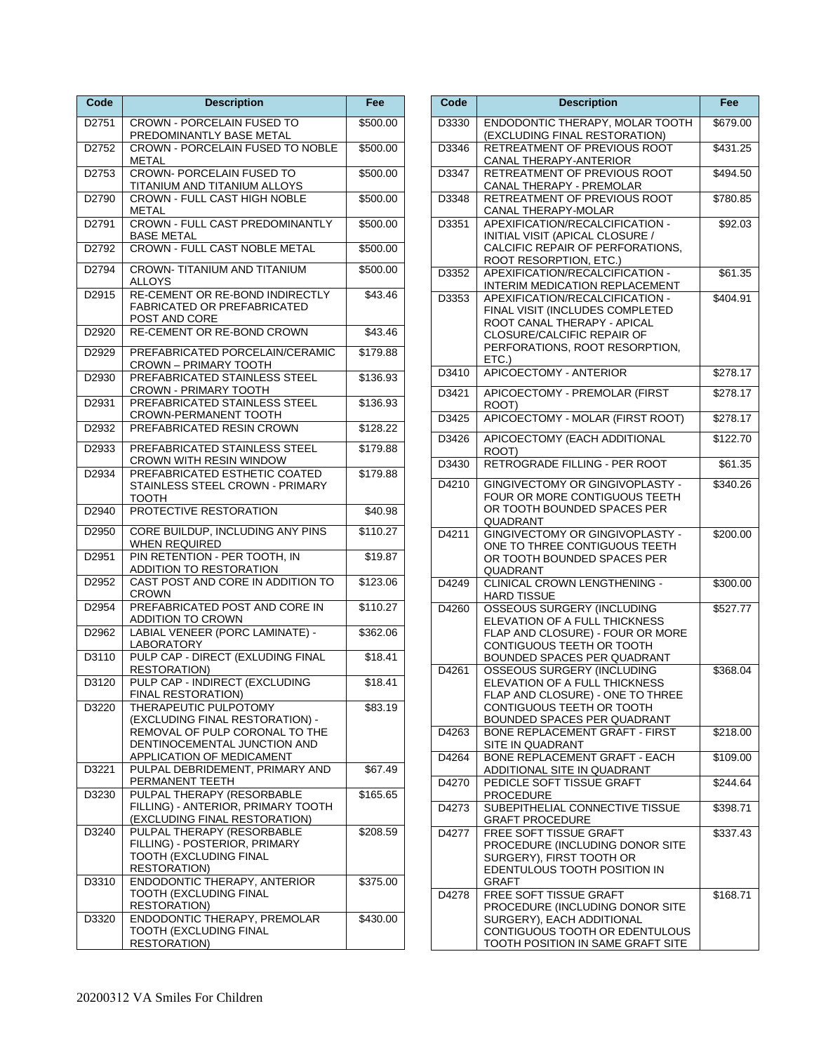| Code              | <b>Description</b>                                                                                                                                      | Fee                  |
|-------------------|---------------------------------------------------------------------------------------------------------------------------------------------------------|----------------------|
| D <sub>2751</sub> | <b>CROWN - PORCELAIN FUSED TO</b><br>PREDOMINANTLY BASE METAL                                                                                           | \$500.00             |
| D2752             | <b>CROWN - PORCELAIN FUSED TO NOBLE</b><br>METAL                                                                                                        | \$500.00             |
| D2753             | <b>CROWN- PORCELAIN FUSED TO</b><br><b>TITANIUM AND TITANIUM ALLOYS</b>                                                                                 | \$500.00             |
| D2790             | <b>CROWN - FULL CAST HIGH NOBLE</b><br>METAL                                                                                                            | \$500.00             |
| D2791             | <b>CROWN - FULL CAST PREDOMINANTLY</b><br><b>BASE METAL</b>                                                                                             | \$500.00             |
| D2792             | <b>CROWN - FULL CAST NOBLE METAL</b>                                                                                                                    | \$500.00             |
| D2794             | <b>CROWN-TITANIUM AND TITANIUM</b><br>ALLOYS                                                                                                            | \$500.00             |
| D2915             | RE-CEMENT OR RE-BOND INDIRECTLY<br><b>FABRICATED OR PREFABRICATED</b><br>POST AND CORE                                                                  | \$43.46              |
| D2920             | RE-CEMENT OR RE-BOND CROWN                                                                                                                              | \$43.46              |
| D2929             | PREFABRICATED PORCELAIN/CERAMIC<br><b>CROWN - PRIMARY TOOTH</b>                                                                                         | \$179.88             |
| D2930             | PREFABRICATED STAINLESS STEEL<br><b>CROWN - PRIMARY TOOTH</b>                                                                                           | \$136.93             |
| D2931             | PREFABRICATED STAINLESS STEEL<br>CROWN-PERMANENT TOOTH                                                                                                  | \$136.93             |
| D2932             | PREFABRICATED RESIN CROWN                                                                                                                               | $\overline{$}128.22$ |
| D2933             | PREFABRICATED STAINLESS STEEL<br><b>CROWN WITH RESIN WINDOW</b>                                                                                         | \$179.88             |
| D2934             | PREFABRICATED ESTHETIC COATED<br>STAINLESS STEEL CROWN - PRIMARY<br>ТООТН                                                                               | \$179.88             |
| D <sub>2940</sub> | PROTECTIVE RESTORATION                                                                                                                                  | \$40.98              |
| D <sub>2950</sub> | CORE BUILDUP, INCLUDING ANY PINS<br><b>WHEN REQUIRED</b>                                                                                                | \$110.27             |
| D2951             | PIN RETENTION - PER TOOTH, IN<br>ADDITION TO RESTORATION                                                                                                | \$19.87              |
| D2952             | CAST POST AND CORE IN ADDITION TO<br><b>CROWN</b>                                                                                                       | \$123.06             |
| D2954             | PREFABRICATED POST AND CORE IN<br>ADDITION TO CROWN                                                                                                     | \$110.27             |
| D2962             | LABIAL VENEER (PORC LAMINATE) -<br><b>LABORATORY</b>                                                                                                    | \$362.06             |
| D3110             | PULP CAP - DIRECT (EXLUDING FINAL<br><b>RESTORATION)</b>                                                                                                | \$18.41              |
| D3120             | PULP CAP - INDIRECT (EXCLUDING<br>FINAL RESTORATION)                                                                                                    | \$18.41              |
| D3220             | THERAPEUTIC PULPOTOMY<br>(EXCLUDING FINAL RESTORATION) -<br>REMOVAL OF PULP CORONAL TO THE<br>DENTINOCEMENTAL JUNCTION AND<br>APPLICATION OF MEDICAMENT | \$83.19              |
| D3221             | PULPAL DEBRIDEMENT, PRIMARY AND<br>PERMANENT TEETH                                                                                                      | \$67.49              |
| D3230             | PULPAL THERAPY (RESORBABLE<br>FILLING) - ANTERIOR, PRIMARY TOOTH<br>(EXCLUDING FINAL RESTORATION)                                                       | \$165.65             |
| D3240             | PULPAL THERAPY (RESORBABLE<br>FILLING) - POSTERIOR, PRIMARY<br>TOOTH (EXCLUDING FINAL<br><b>RESTORATION)</b>                                            | \$208.59             |
| D3310             | ENDODONTIC THERAPY, ANTERIOR<br>TOOTH (EXCLUDING FINAL<br>RESTORATION)                                                                                  | \$375.00             |
| D3320             | ENDODONTIC THERAPY, PREMOLAR<br>TOOTH (EXCLUDING FINAL<br><b>RESTORATION)</b>                                                                           | \$430.00             |

| Code  | <b>Description</b>                                                                                                                                                         | Fee                 |
|-------|----------------------------------------------------------------------------------------------------------------------------------------------------------------------------|---------------------|
| D3330 | ENDODONTIC THERAPY, MOLAR TOOTH<br>(EXCLUDING FINAL RESTORATION)                                                                                                           | $\frac{1}{6}679.00$ |
| D3346 | RETREATMENT OF PREVIOUS ROOT<br>CANAL THERAPY-ANTERIOR                                                                                                                     | \$431.25            |
| D3347 | RETREATMENT OF PREVIOUS ROOT<br>CANAL THERAPY - PREMOLAR                                                                                                                   | \$494.50            |
| D3348 | RETREATMENT OF PREVIOUS ROOT<br>CANAL THERAPY-MOLAR                                                                                                                        | \$780.85            |
| D3351 | APEXIFICATION/RECALCIFICATION -<br>INITIAL VISIT (APICAL CLOSURE /<br>CALCIFIC REPAIR OF PERFORATIONS.<br>ROOT RESORPTION, ETC.)                                           | \$92.03             |
| D3352 | APEXIFICATION/RECALCIFICATION -<br>INTERIM MEDICATION REPLACEMENT                                                                                                          | \$61.35             |
| D3353 | APEXIFICATION/RECALCIFICATION -<br>FINAL VISIT (INCLUDES COMPLETED<br>ROOT CANAL THERAPY - APICAL<br>CLOSURE/CALCIFIC REPAIR OF<br>PERFORATIONS, ROOT RESORPTION,<br>ETC.) | \$404.91            |
| D3410 | APICOECTOMY - ANTERIOR                                                                                                                                                     | \$278.17            |
| D3421 | APICOECTOMY - PREMOLAR (FIRST<br>ROOT)                                                                                                                                     | \$278.17            |
| D3425 | APICOECTOMY - MOLAR (FIRST ROOT)                                                                                                                                           | \$278.17            |
| D3426 | APICOECTOMY (EACH ADDITIONAL<br>ROOT)                                                                                                                                      | \$122.70            |
| D3430 | RETROGRADE FILLING - PER ROOT                                                                                                                                              | \$61.35             |
| D4210 | GINGIVECTOMY OR GINGIVOPLASTY -<br>FOUR OR MORE CONTIGUOUS TEETH<br>OR TOOTH BOUNDED SPACES PER<br>QUADRANT                                                                | \$340.26            |
| D4211 | GINGIVECTOMY OR GINGIVOPLASTY -<br>ONE TO THREE CONTIGUOUS TEETH<br>OR TOOTH BOUNDED SPACES PER<br>QUADRANT                                                                | \$200.00            |
| D4249 | <b>CLINICAL CROWN LENGTHENING -</b><br><b>HARD TISSUE</b>                                                                                                                  | \$300.00            |
| D4260 | <b>OSSEOUS SURGERY (INCLUDING</b><br>ELEVATION OF A FULL THICKNESS<br>FLAP AND CLOSURE) - FOUR OR MORE<br>CONTIGUOUS TEETH OR TOOTH<br>BOUNDED SPACES PER QUADRANT         | \$527.77            |
| D4261 | <b>OSSEOUS SURGERY (INCLUDING</b><br>ELEVATION OF A FULL THICKNESS<br>FLAP AND CLOSURE) - ONE TO THREE<br>CONTIGUOUS TEETH OR TOOTH<br>BOUNDED SPACES PER QUADRANT         | \$368.04            |
| D4263 | BONE REPLACEMENT GRAFT - FIRST<br>SITE IN QUADRANT                                                                                                                         | \$218.00            |
| D4264 | <b>BONE REPLACEMENT GRAFT - EACH</b><br>ADDITIONAL SITE IN QUADRANT                                                                                                        | \$109.00            |
| D4270 | PEDICLE SOFT TISSUE GRAFT<br><b>PROCEDURE</b>                                                                                                                              | \$244.64            |
| D4273 | SUBEPITHELIAL CONNECTIVE TISSUE<br><b>GRAFT PROCEDURE</b>                                                                                                                  | \$398.71            |
| D4277 | <b>FREE SOFT TISSUE GRAFT</b><br>PROCEDURE (INCLUDING DONOR SITE<br>SURGERY), FIRST TOOTH OR<br>EDENTULOUS TOOTH POSITION IN<br>GRAFT                                      | \$337.43            |
| D4278 | FREE SOFT TISSUE GRAFT<br>PROCEDURE (INCLUDING DONOR SITE<br>SURGERY), EACH ADDITIONAL<br>CONTIGUOUS TOOTH OR EDENTULOUS<br>TOOTH POSITION IN SAME GRAFT SITE              | \$168.71            |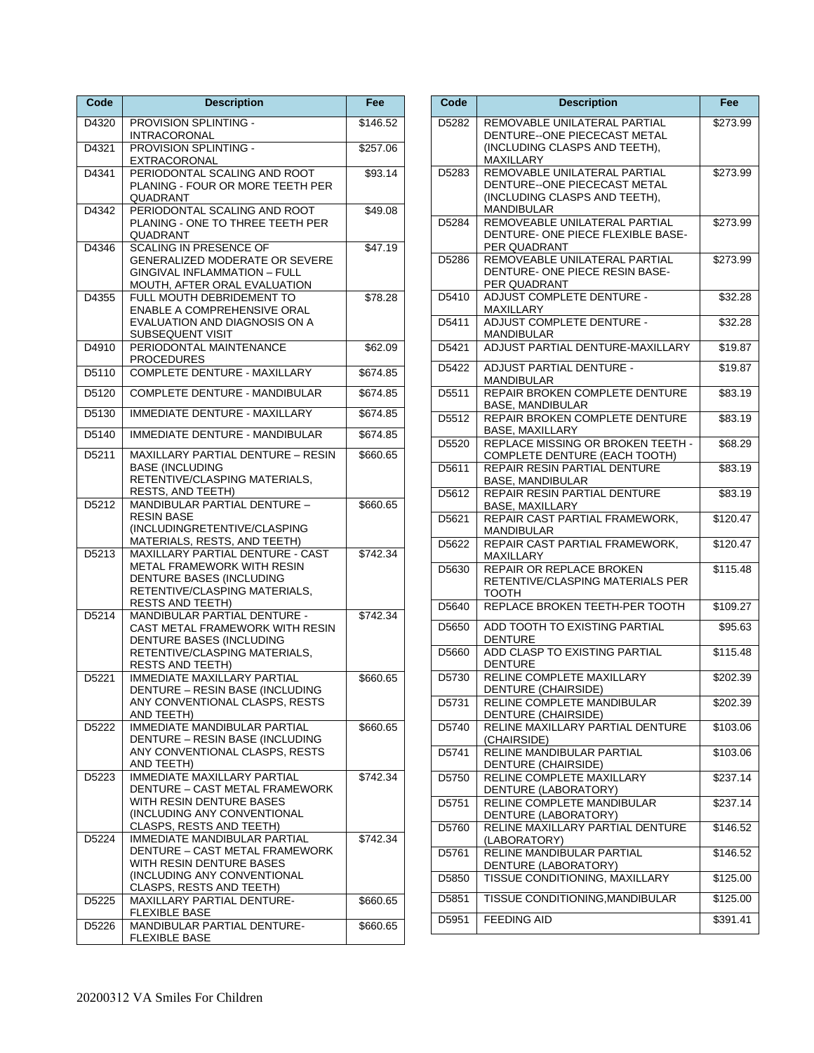| Code              | <b>Description</b>                                                                                                                                           | Fee      |
|-------------------|--------------------------------------------------------------------------------------------------------------------------------------------------------------|----------|
| D4320             | PROVISION SPLINTING -<br>INTRACORONAL                                                                                                                        | \$146.52 |
| D4321             | PROVISION SPLINTING -<br>EXTRACORONAL                                                                                                                        | \$257.06 |
| D4341             | PERIODONTAL SCALING AND ROOT<br>PLANING - FOUR OR MORE TEETH PER<br>QUADRANT                                                                                 | \$93.14  |
| D4342             | PERIODONTAL SCALING AND ROOT<br>PLANING - ONE TO THREE TEETH PER<br>QUADRANT                                                                                 | \$49.08  |
| D4346             | <b>SCALING IN PRESENCE OF</b><br><b>GENERALIZED MODERATE OR SEVERE</b><br><b>GINGIVAL INFLAMMATION - FULL</b><br>MOUTH, AFTER ORAL EVALUATION                | \$47.19  |
| D4355             | FULL MOUTH DEBRIDEMENT TO<br>ENABLE A COMPREHENSIVE ORAL<br>EVALUATION AND DIAGNOSIS ON A<br>SUBSEQUENT VISIT                                                | \$78.28  |
| D4910             | PERIODONTAL MAINTENANCE<br><b>PROCEDURES</b>                                                                                                                 | \$62.09  |
| D5110             | COMPLETE DENTURE - MAXILLARY                                                                                                                                 | \$674.85 |
| D5120             | COMPLETE DENTURE - MANDIBULAR                                                                                                                                | \$674.85 |
| D5130             | <b>IMMEDIATE DENTURE - MAXILLARY</b>                                                                                                                         | \$674.85 |
| D5140             | <b>IMMEDIATE DENTURE - MANDIBULAR</b>                                                                                                                        | \$674.85 |
| D5211             | MAXILLARY PARTIAL DENTURE - RESIN<br><b>BASE (INCLUDING</b><br>RETENTIVE/CLASPING MATERIALS,<br>RESTS, AND TEETH)                                            | \$660.65 |
| D5212             | MANDIBULAR PARTIAL DENTURE -<br><b>RESIN BASE</b><br>(INCLUDINGRETENTIVE/CLASPING<br>MATERIALS, RESTS, AND TEETH)                                            | \$660.65 |
| D5213             | MAXILLARY PARTIAL DENTURE - CAST<br>METAL FRAMEWORK WITH RESIN<br>DENTURE BASES (INCLUDING<br>RETENTIVE/CLASPING MATERIALS,<br><b>RESTS AND TEETH)</b>       | \$742.34 |
| D5214             | MANDIBULAR PARTIAL DENTURE -<br>CAST METAL FRAMEWORK WITH RESIN<br>DENTURE BASES (INCLUDING<br>RETENTIVE/CLASPING MATERIALS,<br><b>RESTS AND TEETH)</b>      | \$742.34 |
| D5221             | <b>IMMEDIATE MAXILLARY PARTIAL</b><br>DENTURE - RESIN BASE (INCLUDING<br>ANY CONVENTIONAL CLASPS, RESTS<br>AND TEETH)                                        | \$660.65 |
| D5222             | <b>IMMEDIATE MANDIBULAR PARTIAL</b><br>DENTURE - RESIN BASE (INCLUDING<br>ANY CONVENTIONAL CLASPS, RESTS<br>AND TEETH)                                       | \$660.65 |
| D5223             | <b>IMMEDIATE MAXILLARY PARTIAL</b><br>DENTURE - CAST METAL FRAMEWORK<br>WITH RESIN DENTURE BASES<br>(INCLUDING ANY CONVENTIONAL<br>CLASPS, RESTS AND TEETH)  | \$742.34 |
| D5224             | <b>IMMEDIATE MANDIBULAR PARTIAL</b><br>DENTURE - CAST METAL FRAMEWORK<br>WITH RESIN DENTURE BASES<br>(INCLUDING ANY CONVENTIONAL<br>CLASPS, RESTS AND TEETH) | \$742.34 |
| D5225             | MAXILLARY PARTIAL DENTURE-<br><b>FLEXIBLE BASE</b>                                                                                                           | \$660.65 |
| D <sub>5226</sub> | MANDIBULAR PARTIAL DENTURE-<br><b>FLEXIBLE BASE</b>                                                                                                          | \$660.65 |

| Code              | <b>Description</b>                                                                                         | Fee      |
|-------------------|------------------------------------------------------------------------------------------------------------|----------|
| D5282             | REMOVABLE UNILATERAL PARTIAL<br>DENTURE--ONE PIECECAST METAL<br>(INCLUDING CLASPS AND TEETH),<br>MAXILLARY | \$273.99 |
| D5283             | REMOVABLE UNILATERAL PARTIAL<br>DENTURE-ONE PIECECAST METAL<br>(INCLUDING CLASPS AND TEETH),<br>MANDIBULAR | \$273.99 |
| D5284             | REMOVEABLE UNILATERAL PARTIAL<br>DENTURE- ONE PIECE FLEXIBLE BASE-<br>PER QUADRANT                         | \$273.99 |
| D5286             | REMOVEABLE UNILATERAL PARTIAL<br>DENTURE- ONE PIECE RESIN BASE-<br>PER QUADRANT                            | \$273.99 |
| D5410             | <b>ADJUST COMPLETE DENTURE -</b><br>MAXILLARY                                                              | \$32.28  |
| D5411             | ADJUST COMPLETE DENTURE -<br>MANDIBULAR                                                                    | \$32.28  |
| D5421             | ADJUST PARTIAL DENTURE-MAXILLARY                                                                           | \$19.87  |
| D <sub>5422</sub> | ADJUST PARTIAL DENTURE -<br>MANDIBULAR                                                                     | \$19.87  |
| D5511             | REPAIR BROKEN COMPLETE DENTURE<br><b>BASE, MANDIBULAR</b>                                                  | \$83.19  |
| D5512             | REPAIR BROKEN COMPLETE DENTURE<br><b>BASE, MAXILLARY</b>                                                   | \$83.19  |
| D5520             | REPLACE MISSING OR BROKEN TEETH -<br>COMPLETE DENTURE (EACH TOOTH)                                         | \$68.29  |
| D5611             | REPAIR RESIN PARTIAL DENTURE<br><b>BASE, MANDIBULAR</b>                                                    | \$83.19  |
| D5612             | REPAIR RESIN PARTIAL DENTURE<br>BASE, MAXILLARY                                                            | \$83.19  |
| D5621             | REPAIR CAST PARTIAL FRAMEWORK,<br>MANDIBULAR                                                               | \$120.47 |
| D5622             | REPAIR CAST PARTIAL FRAMEWORK,<br>MAXILLARY                                                                | \$120.47 |
| D5630             | REPAIR OR REPLACE BROKEN<br>RETENTIVE/CLASPING MATERIALS PER<br>тоотн                                      | \$115.48 |
| D5640             | REPLACE BROKEN TEETH-PER TOOTH                                                                             | \$109.27 |
| D5650             | ADD TOOTH TO EXISTING PARTIAL<br><b>DENTURE</b>                                                            | \$95.63  |
| D5660             | ADD CLASP TO EXISTING PARTIAL<br><b>DENTURE</b>                                                            | \$115.48 |
| D5730             | RELINE COMPLETE MAXILLARY<br>DENTURE (CHAIRSIDE)                                                           | \$202.39 |
| D5731             | RELINE COMPLETE MANDIBULAR<br>DENTURE (CHAIRSIDE)                                                          | \$202.39 |
| D5740             | RELINE MAXILLARY PARTIAL DENTURE<br>(CHAIRSIDE)                                                            | \$103.06 |
| D5741             | RELINE MANDIBULAR PARTIAL<br>DENTURE (CHAIRSIDE)                                                           | \$103.06 |
| D5750             | RELINE COMPLETE MAXILLARY<br>DENTURE (LABORATORY)                                                          | \$237.14 |
| D5751             | RELINE COMPLETE MANDIBULAR<br>DENTURE (LABORATORY)                                                         | \$237.14 |
| D5760             | RELINE MAXILLARY PARTIAL DENTURE<br>(LABORATORY)                                                           | \$146.52 |
| D5761             | RELINE MANDIBULAR PARTIAL<br>DENTURE (LABORATORY)                                                          | \$146.52 |
| D5850             | TISSUE CONDITIONING, MAXILLARY                                                                             | \$125.00 |
| D5851             | TISSUE CONDITIONING, MANDIBULAR                                                                            | \$125.00 |
| D5951             | <b>FEEDING AID</b>                                                                                         | \$391.41 |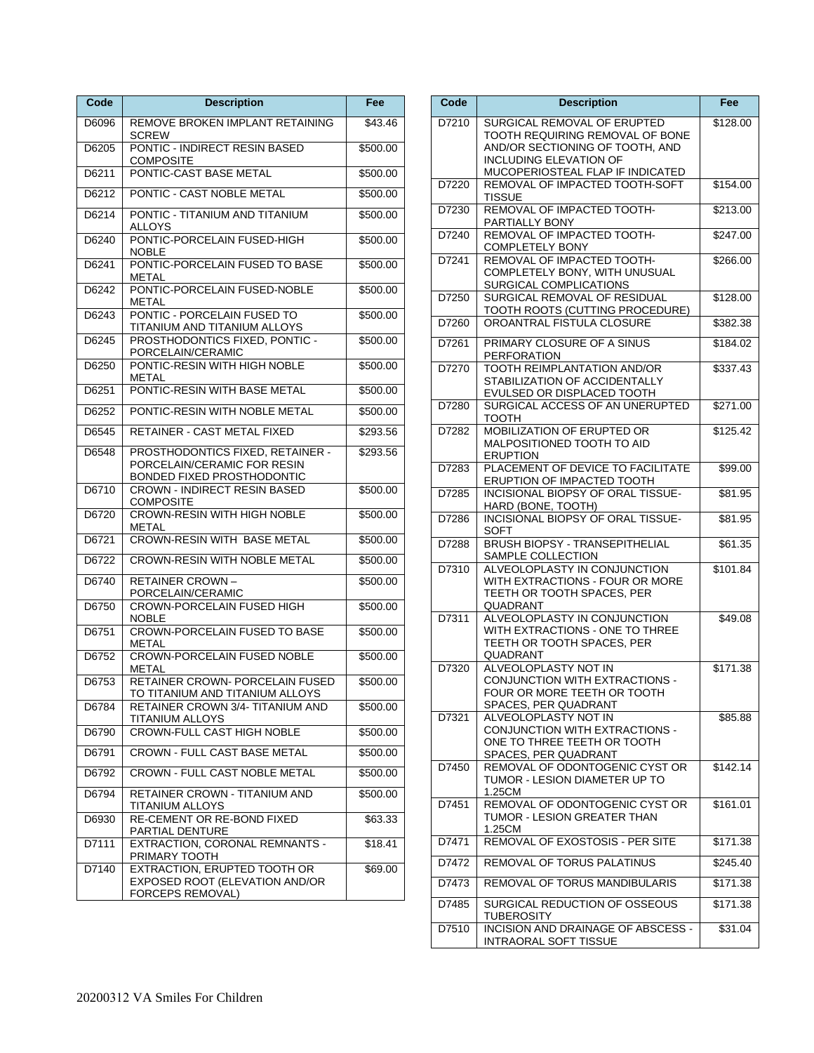| Code  | <b>Description</b>                                                                    | Fee      |
|-------|---------------------------------------------------------------------------------------|----------|
| D6096 | REMOVE BROKEN IMPLANT RETAINING<br><b>SCREW</b>                                       | \$43.46  |
| D6205 | PONTIC - INDIRECT RESIN BASED<br>COMPOSITE                                            | \$500.00 |
| D6211 | PONTIC-CAST BASE METAL                                                                | \$500.00 |
| D6212 | PONTIC - CAST NOBLE METAL                                                             | \$500.00 |
| D6214 | PONTIC - TITANIUM AND TITANIUM<br>ALLOYS                                              | \$500.00 |
| D6240 | PONTIC-PORCELAIN FUSED-HIGH<br><b>NOBLE</b>                                           | \$500.00 |
| D6241 | PONTIC-PORCELAIN FUSED TO BASE<br>METAL                                               | \$500.00 |
| D6242 | PONTIC-PORCELAIN FUSED-NOBLE<br><b>METAL</b>                                          | \$500.00 |
| D6243 | PONTIC - PORCELAIN FUSED TO<br>TITANIUM AND TITANIUM ALLOYS                           | \$500.00 |
| D6245 | PROSTHODONTICS FIXED, PONTIC -<br>PORCELAIN/CERAMIC                                   | \$500.00 |
| D6250 | PONTIC-RESIN WITH HIGH NOBLE<br>METAL                                                 | \$500.00 |
| D6251 | PONTIC-RESIN WITH BASE METAL                                                          | \$500.00 |
| D6252 | PONTIC-RESIN WITH NOBLE METAL                                                         | \$500.00 |
| D6545 | RETAINER - CAST METAL FIXED                                                           | \$293.56 |
| D6548 | PROSTHODONTICS FIXED, RETAINER -<br>PORCELAIN/CERAMIC FOR RESIN                       | \$293.56 |
| D6710 | BONDED FIXED PROSTHODONTIC<br><b>CROWN - INDIRECT RESIN BASED</b><br><b>COMPOSITE</b> | \$500.00 |
| D6720 | <b>CROWN-RESIN WITH HIGH NOBLE</b><br><b>METAL</b>                                    | \$500.00 |
| D6721 | <b>CROWN-RESIN WITH BASE METAL</b>                                                    | \$500.00 |
| D6722 | <b>CROWN-RESIN WITH NOBLE METAL</b>                                                   | \$500.00 |
| D6740 | <b>RETAINER CROWN-</b><br>PORCELAIN/CERAMIC                                           | \$500.00 |
| D6750 | <b>CROWN-PORCELAIN FUSED HIGH</b><br><b>NOBLE</b>                                     | \$500.00 |
| D6751 | CROWN-PORCELAIN FUSED TO BASE<br>METAL                                                | \$500.00 |
| D6752 | <b>CROWN-PORCELAIN FUSED NOBLE</b><br>METAL                                           | \$500.00 |
| D6753 | RETAINER CROWN- PORCELAIN FUSED<br>TO TITANIUM AND TITANIUM ALLOYS                    | \$500.00 |
| D6784 | RETAINER CROWN 3/4- TITANIUM AND<br>TITANIUM ALLOYS                                   | \$500.00 |
| D6790 | <b>CROWN-FULL CAST HIGH NOBLE</b>                                                     | \$500.00 |
| D6791 | <b>CROWN - FULL CAST BASE METAL</b>                                                   | \$500.00 |
| D6792 | <b>CROWN - FULL CAST NOBLE METAL</b>                                                  | \$500.00 |
| D6794 | <b>RETAINER CROWN - TITANIUM AND</b><br>TITANIUM ALLOYS                               | \$500.00 |
| D6930 | RE-CEMENT OR RE-BOND FIXED<br>PARTIAL DENTURE                                         | \$63.33  |
| D7111 | EXTRACTION, CORONAL REMNANTS -<br>PRIMARY TOOTH                                       | \$18.41  |
| D7140 | EXTRACTION, ERUPTED TOOTH OR<br>EXPOSED ROOT (ELEVATION AND/OR<br>FORCEPS REMOVAL)    | \$69.00  |

| Code  | <b>Description</b>                                                 | Fee                  |
|-------|--------------------------------------------------------------------|----------------------|
| D7210 | SURGICAL REMOVAL OF ERUPTED                                        | $\overline{$}128.00$ |
|       | TOOTH REQUIRING REMOVAL OF BONE<br>AND/OR SECTIONING OF TOOTH. AND |                      |
|       | <b>INCLUDING ELEVATION OF</b>                                      |                      |
|       | MUCOPERIOSTEAL FLAP IF INDICATED                                   |                      |
| D7220 | REMOVAL OF IMPACTED TOOTH-SOFT                                     | \$154.00             |
| D7230 | TISSUE<br>REMOVAL OF IMPACTED TOOTH-                               | \$213.00             |
|       | PARTIALLY BONY                                                     |                      |
| D7240 | REMOVAL OF IMPACTED TOOTH-                                         | \$247.00             |
| D7241 | COMPLETELY BONY<br>REMOVAL OF IMPACTED TOOTH-                      | \$266.00             |
|       | COMPLETELY BONY, WITH UNUSUAL                                      |                      |
|       | SURGICAL COMPLICATIONS                                             |                      |
| D7250 | SURGICAL REMOVAL OF RESIDUAL<br>TOOTH ROOTS (CUTTING PROCEDURE)    | \$128.00             |
| D7260 | OROANTRAL FISTULA CLOSURE                                          | \$382.38             |
| D7261 | PRIMARY CLOSURE OF A SINUS                                         | \$184.02             |
|       | PERFORATION                                                        |                      |
| D7270 | TOOTH REIMPLANTATION AND/OR                                        | \$337.43             |
|       | STABILIZATION OF ACCIDENTALLY<br>EVULSED OR DISPLACED TOOTH        |                      |
| D7280 | SURGICAL ACCESS OF AN UNERUPTED                                    | \$271.00             |
|       | тоотн                                                              |                      |
| D7282 | MOBILIZATION OF ERUPTED OR<br>MALPOSITIONED TOOTH TO AID           | \$125.42             |
|       | <b>ERUPTION</b>                                                    |                      |
| D7283 | PLACEMENT OF DEVICE TO FACILITATE                                  | \$99.00              |
| D7285 | ERUPTION OF IMPACTED TOOTH<br>INCISIONAL BIOPSY OF ORAL TISSUE-    | \$81.95              |
|       | HARD (BONE, TOOTH)                                                 |                      |
| D7286 | INCISIONAL BIOPSY OF ORAL TISSUE-                                  | \$81.95              |
| D7288 | SOFT<br><b>BRUSH BIOPSY - TRANSEPITHELIAL</b>                      | \$61.35              |
|       | SAMPLE COLLECTION                                                  |                      |
| D7310 | ALVEOLOPLASTY IN CONJUNCTION                                       | \$101.84             |
|       | WITH EXTRACTIONS - FOUR OR MORE<br>TEETH OR TOOTH SPACES, PER      |                      |
|       | QUADRANT                                                           |                      |
| D7311 | ALVEOLOPLASTY IN CONJUNCTION                                       | \$49.08              |
|       | WITH EXTRACTIONS - ONE TO THREE<br>TEETH OR TOOTH SPACES, PER      |                      |
|       | QUADRANT                                                           |                      |
| D7320 | ALVEOLOPLASTY NOT IN                                               | \$171.38             |
|       | CONJUNCTION WITH EXTRACTIONS -<br>FOUR OR MORE TEETH OR TOOTH      |                      |
|       | SPACES, PER QUADRANT                                               |                      |
| D7321 | ALVEOLOPLASTY NOT IN                                               | \$85.88              |
|       | CONJUNCTION WITH EXTRACTIONS -<br>ONE TO THREE TEETH OR TOOTH      |                      |
|       | SPACES, PER QUADRANT                                               |                      |
| D7450 | REMOVAL OF ODONTOGENIC CYST OR                                     | \$142.14             |
|       | TUMOR - LESION DIAMETER UP TO<br>1.25CM                            |                      |
| D7451 | REMOVAL OF ODONTOGENIC CYST OR                                     | \$161.01             |
|       | TUMOR - LESION GREATER THAN                                        |                      |
| D7471 | 1.25CM<br>REMOVAL OF EXOSTOSIS - PER SITE                          | \$171.38             |
| D7472 | <b>REMOVAL OF TORUS PALATINUS</b>                                  | \$245.40             |
|       |                                                                    |                      |
| D7473 | REMOVAL OF TORUS MANDIBULARIS                                      | \$171.38             |
| D7485 | SURGICAL REDUCTION OF OSSEOUS<br>TUBEROSITY                        | \$171.38             |
| D7510 | INCISION AND DRAINAGE OF ABSCESS -                                 | \$31.04              |
|       | <b>INTRAORAL SOFT TISSUE</b>                                       |                      |